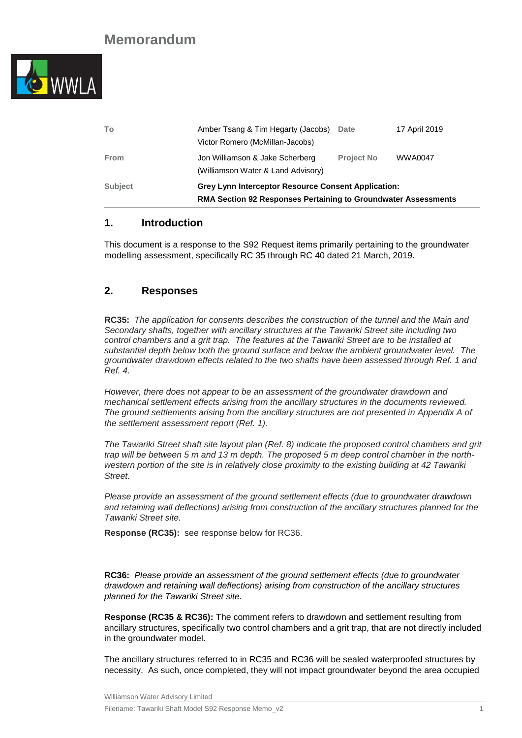

| To             | Amber Tsang & Tim Hegarty (Jacobs)<br>Victor Romero (McMillan-Jacobs)                                                               | Date              | 17 April 2019  |  |
|----------------|-------------------------------------------------------------------------------------------------------------------------------------|-------------------|----------------|--|
| From           | Jon Williamson & Jake Scherberg<br>(Williamson Water & Land Advisory)                                                               | <b>Project No</b> | <b>WWA0047</b> |  |
| <b>Subject</b> | <b>Grey Lynn Interceptor Resource Consent Application:</b><br><b>RMA Section 92 Responses Pertaining to Groundwater Assessments</b> |                   |                |  |

### **1. Introduction**

This document is a response to the S92 Request items primarily pertaining to the groundwater modelling assessment, specifically RC 35 through RC 40 dated 21 March, 2019.

### **2. Responses**

**RC35:** *The application for consents describes the construction of the tunnel and the Main and Secondary shafts, together with ancillary structures at the Tawariki Street site including two control chambers and a grit trap. The features at the Tawariki Street are to be installed at substantial depth below both the ground surface and below the ambient groundwater level. The groundwater drawdown effects related to the two shafts have been assessed through Ref. 1 and Ref. 4.*

*However, there does not appear to be an assessment of the groundwater drawdown and mechanical settlement effects arising from the ancillary structures in the documents reviewed. The ground settlements arising from the ancillary structures are not presented in Appendix A of the settlement assessment report (Ref. 1).*

*The Tawariki Street shaft site layout plan (Ref. 8) indicate the proposed control chambers and grit trap will be between 5 m and 13 m depth. The proposed 5 m deep control chamber in the northwestern portion of the site is in relatively close proximity to the existing building at 42 Tawariki Street.*

*Please provide an assessment of the ground settlement effects (due to groundwater drawdown and retaining wall deflections) arising from construction of the ancillary structures planned for the Tawariki Street site.*

**Response (RC35):** see response below for RC36.

**RC36:** *Please provide an assessment of the ground settlement effects (due to groundwater drawdown and retaining wall deflections) arising from construction of the ancillary structures planned for the Tawariki Street site.*

**Response (RC35 & RC36):** The comment refers to drawdown and settlement resulting from ancillary structures, specifically two control chambers and a grit trap, that are not directly included in the groundwater model.

The ancillary structures referred to in RC35 and RC36 will be sealed waterproofed structures by necessity. As such, once completed, they will not impact groundwater beyond the area occupied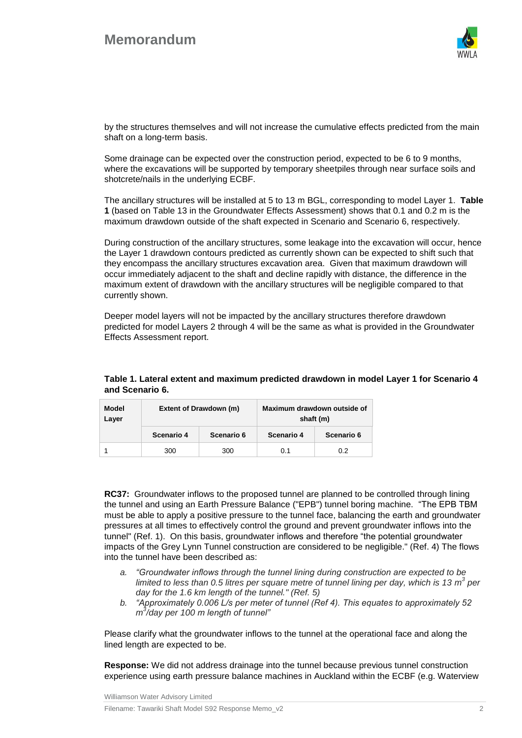# **Memorandum**



by the structures themselves and will not increase the cumulative effects predicted from the main shaft on a long-term basis.

Some drainage can be expected over the construction period, expected to be 6 to 9 months, where the excavations will be supported by temporary sheetpiles through near surface soils and shotcrete/nails in the underlying ECBF.

The ancillary structures will be installed at 5 to 13 m BGL, corresponding to model Layer 1. **Table 1** (based on Table 13 in the Groundwater Effects Assessment) shows that 0.1 and 0.2 m is the maximum drawdown outside of the shaft expected in Scenario and Scenario 6, respectively.

During construction of the ancillary structures, some leakage into the excavation will occur, hence the Layer 1 drawdown contours predicted as currently shown can be expected to shift such that they encompass the ancillary structures excavation area. Given that maximum drawdown will occur immediately adjacent to the shaft and decline rapidly with distance, the difference in the maximum extent of drawdown with the ancillary structures will be negligible compared to that currently shown.

Deeper model layers will not be impacted by the ancillary structures therefore drawdown predicted for model Layers 2 through 4 will be the same as what is provided in the Groundwater Effects Assessment report.

| Model<br>Layer | Extent of Drawdown (m) |            | Maximum drawdown outside of<br>shaft (m) |            |
|----------------|------------------------|------------|------------------------------------------|------------|
|                | Scenario 4             | Scenario 6 | Scenario 4                               | Scenario 6 |
|                | 300                    | 300        | 0.1                                      | 0.2        |

### **Table 1. Lateral extent and maximum predicted drawdown in model Layer 1 for Scenario 4 and Scenario 6.**

**RC37:** Groundwater inflows to the proposed tunnel are planned to be controlled through lining the tunnel and using an Earth Pressure Balance ("EPB") tunnel boring machine. "The EPB TBM must be able to apply a positive pressure to the tunnel face, balancing the earth and groundwater pressures at all times to effectively control the ground and prevent groundwater inflows into the tunnel" (Ref. 1). On this basis, groundwater inflows and therefore "the potential groundwater impacts of the Grey Lynn Tunnel construction are considered to be negligible." (Ref. 4) The flows into the tunnel have been described as:

- *a. "Groundwater inflows through the tunnel lining during construction are expected to be*  limited to less than 0.5 litres per square metre of tunnel lining per day, which is 13 m<sup>3</sup> per *day for the 1.6 km length of the tunnel." (Ref. 5)*
- *b. "Approximately 0.006 L/s per meter of tunnel (Ref 4). This equates to approximately 52 m 3 /day per 100 m length of tunnel"*

Please clarify what the groundwater inflows to the tunnel at the operational face and along the lined length are expected to be.

**Response:** We did not address drainage into the tunnel because previous tunnel construction experience using earth pressure balance machines in Auckland within the ECBF (e.g. Waterview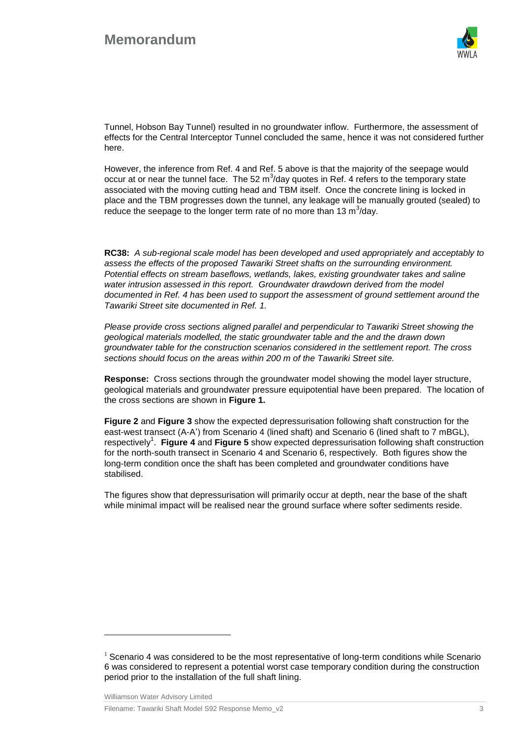

Tunnel, Hobson Bay Tunnel) resulted in no groundwater inflow. Furthermore, the assessment of effects for the Central Interceptor Tunnel concluded the same, hence it was not considered further here.

However, the inference from Ref. 4 and Ref. 5 above is that the majority of the seepage would occur at or near the tunnel face. The 52 m<sup>3</sup>/day quotes in Ref. 4 refers to the temporary state associated with the moving cutting head and TBM itself. Once the concrete lining is locked in place and the TBM progresses down the tunnel, any leakage will be manually grouted (sealed) to reduce the seepage to the longer term rate of no more than 13  $m^3$ /day.

**RC38:** *A sub-regional scale model has been developed and used appropriately and acceptably to assess the effects of the proposed Tawariki Street shafts on the surrounding environment. Potential effects on stream baseflows, wetlands, lakes, existing groundwater takes and saline water intrusion assessed in this report. Groundwater drawdown derived from the model documented in Ref. 4 has been used to support the assessment of ground settlement around the Tawariki Street site documented in Ref. 1.*

*Please provide cross sections aligned parallel and perpendicular to Tawariki Street showing the geological materials modelled, the static groundwater table and the and the drawn down groundwater table for the construction scenarios considered in the settlement report. The cross sections should focus on the areas within 200 m of the Tawariki Street site.*

**Response:** Cross sections through the groundwater model showing the model layer structure, geological materials and groundwater pressure equipotential have been prepared. The location of the cross sections are shown in **Figure 1.**

**Figure 2** and **Figure 3** show the expected depressurisation following shaft construction for the east-west transect (A-A') from Scenario 4 (lined shaft) and Scenario 6 (lined shaft to 7 mBGL), respectively<sup>1</sup>. Figure 4 and Figure 5 show expected depressurisation following shaft construction for the north-south transect in Scenario 4 and Scenario 6, respectively. Both figures show the long-term condition once the shaft has been completed and groundwater conditions have stabilised.

The figures show that depressurisation will primarily occur at depth, near the base of the shaft while minimal impact will be realised near the ground surface where softer sediments reside.

Williamson Water Advisory Limited

 $\overline{a}$ 

Filename: Tawariki Shaft Model S92 Response Memo\_v2 3

 $1$  Scenario 4 was considered to be the most representative of long-term conditions while Scenario 6 was considered to represent a potential worst case temporary condition during the construction period prior to the installation of the full shaft lining.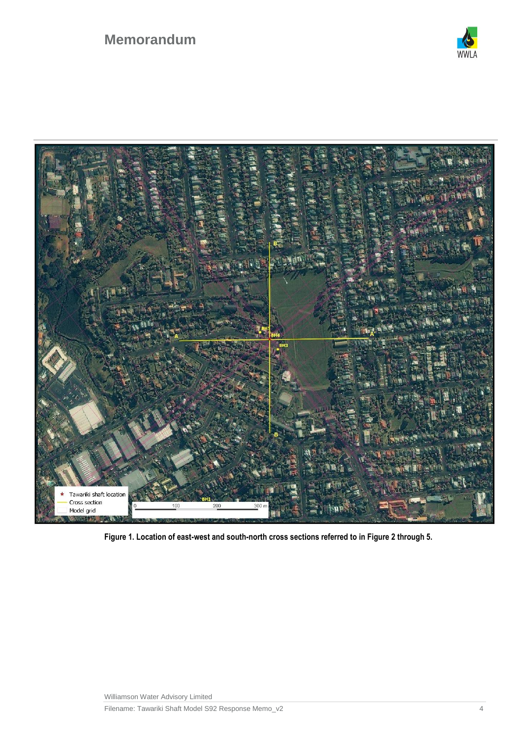



**Figure 1. Location of east-west and south-north cross sections referred to in Figure 2 through 5.**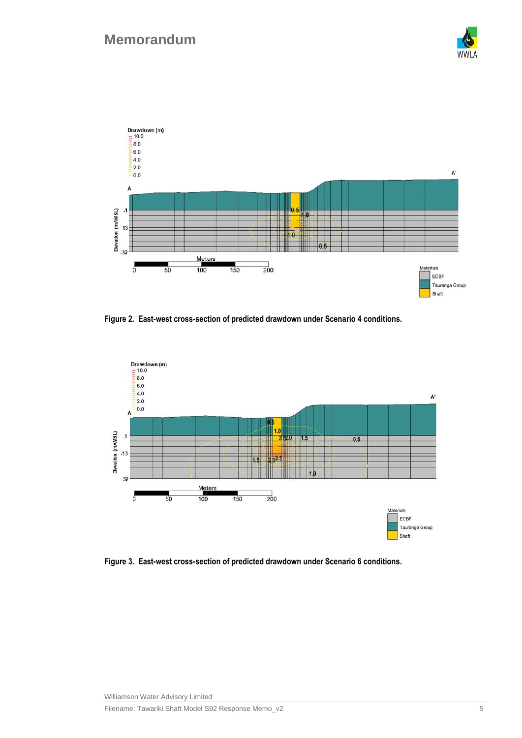



<span id="page-4-0"></span>**Figure 2. East-west cross-section of predicted drawdown under Scenario 4 conditions.**



**Figure 3. East-west cross-section of predicted drawdown under Scenario 6 conditions.**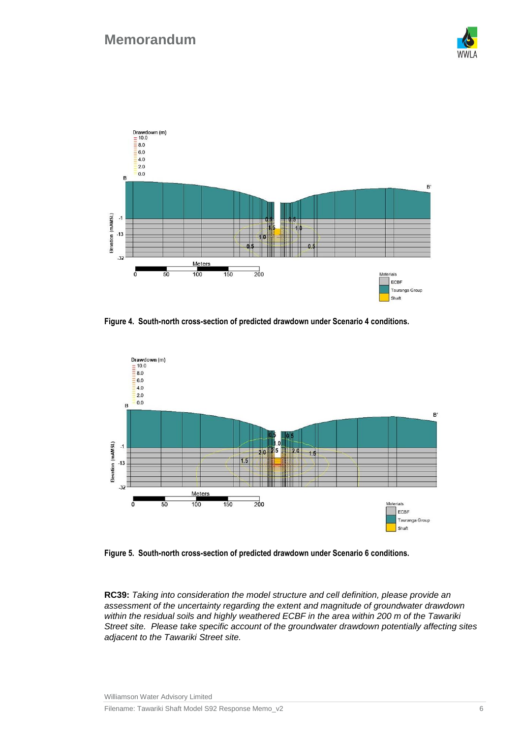



**Figure 4. South-north cross-section of predicted drawdown under Scenario 4 conditions.**



<span id="page-5-0"></span>**Figure 5. South-north cross-section of predicted drawdown under Scenario 6 conditions.**

**RC39:** *Taking into consideration the model structure and cell definition, please provide an assessment of the uncertainty regarding the extent and magnitude of groundwater drawdown within the residual soils and highly weathered ECBF in the area within 200 m of the Tawariki Street site. Please take specific account of the groundwater drawdown potentially affecting sites adjacent to the Tawariki Street site.*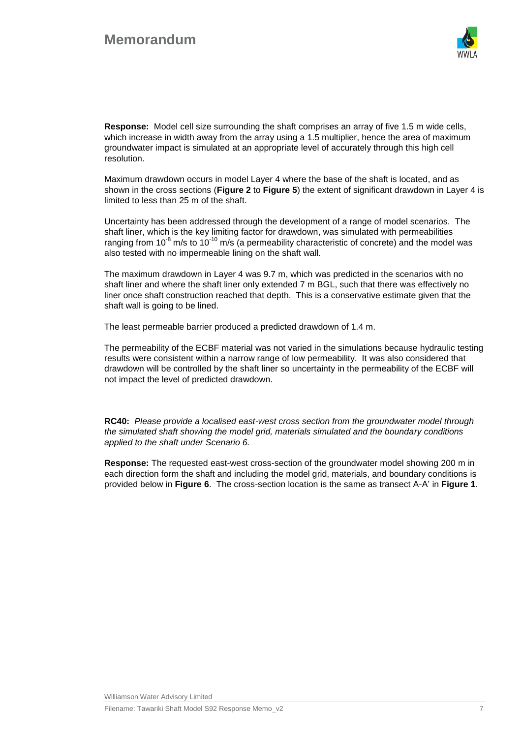

**Response:** Model cell size surrounding the shaft comprises an array of five 1.5 m wide cells, which increase in width away from the array using a 1.5 multiplier, hence the area of maximum groundwater impact is simulated at an appropriate level of accurately through this high cell resolution.

Maximum drawdown occurs in model Layer 4 where the base of the shaft is located, and as shown in the cross sections (**[Figure 2](#page-4-0)** to **[Figure 5](#page-5-0)**) the extent of significant drawdown in Layer 4 is limited to less than 25 m of the shaft.

Uncertainty has been addressed through the development of a range of model scenarios. The shaft liner, which is the key limiting factor for drawdown, was simulated with permeabilities ranging from 10 $^8$  m/s to 10 $^{\text{10}}$  m/s (a permeability characteristic of concrete) and the model was also tested with no impermeable lining on the shaft wall.

The maximum drawdown in Layer 4 was 9.7 m, which was predicted in the scenarios with no shaft liner and where the shaft liner only extended 7 m BGL, such that there was effectively no liner once shaft construction reached that depth. This is a conservative estimate given that the shaft wall is going to be lined.

The least permeable barrier produced a predicted drawdown of 1.4 m.

The permeability of the ECBF material was not varied in the simulations because hydraulic testing results were consistent within a narrow range of low permeability. It was also considered that drawdown will be controlled by the shaft liner so uncertainty in the permeability of the ECBF will not impact the level of predicted drawdown.

**RC40:** *Please provide a localised east-west cross section from the groundwater model through the simulated shaft showing the model grid, materials simulated and the boundary conditions applied to the shaft under Scenario 6.*

**Response:** The requested east-west cross-section of the groundwater model showing 200 m in each direction form the shaft and including the model grid, materials, and boundary conditions is provided below in **Figure 6**. The cross-section location is the same as transect A-A' in **Figure 1**.